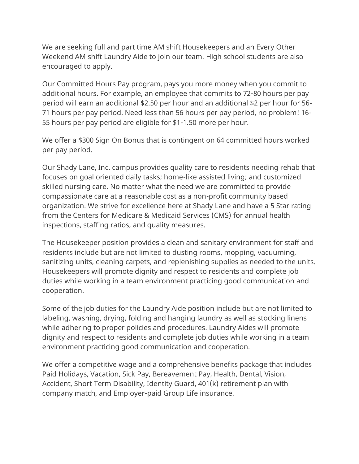We are seeking full and part time AM shift Housekeepers and an Every Other Weekend AM shift Laundry Aide to join our team. High school students are also encouraged to apply.

Our Committed Hours Pay program, pays you more money when you commit to additional hours. For example, an employee that commits to 72-80 hours per pay period will earn an additional \$2.50 per hour and an additional \$2 per hour for 56- 71 hours per pay period. Need less than 56 hours per pay period, no problem! 16- 55 hours per pay period are eligible for \$1-1.50 more per hour.

We offer a \$300 Sign On Bonus that is contingent on 64 committed hours worked per pay period.

Our Shady Lane, Inc. campus provides quality care to residents needing rehab that focuses on goal oriented daily tasks; home-like assisted living; and customized skilled nursing care. No matter what the need we are committed to provide compassionate care at a reasonable cost as a non-profit community based organization. We strive for excellence here at Shady Lane and have a 5 Star rating from the Centers for Medicare & Medicaid Services (CMS) for annual health inspections, staffing ratios, and quality measures.

The Housekeeper position provides a clean and sanitary environment for staff and residents include but are not limited to dusting rooms, mopping, vacuuming, sanitizing units, cleaning carpets, and replenishing supplies as needed to the units. Housekeepers will promote dignity and respect to residents and complete job duties while working in a team environment practicing good communication and cooperation.

Some of the job duties for the Laundry Aide position include but are not limited to labeling, washing, drying, folding and hanging laundry as well as stocking linens while adhering to proper policies and procedures. Laundry Aides will promote dignity and respect to residents and complete job duties while working in a team environment practicing good communication and cooperation.

We offer a competitive wage and a comprehensive benefits package that includes Paid Holidays, Vacation, Sick Pay, Bereavement Pay, Health, Dental, Vision, Accident, Short Term Disability, Identity Guard, 401(k) retirement plan with company match, and Employer-paid Group Life insurance.